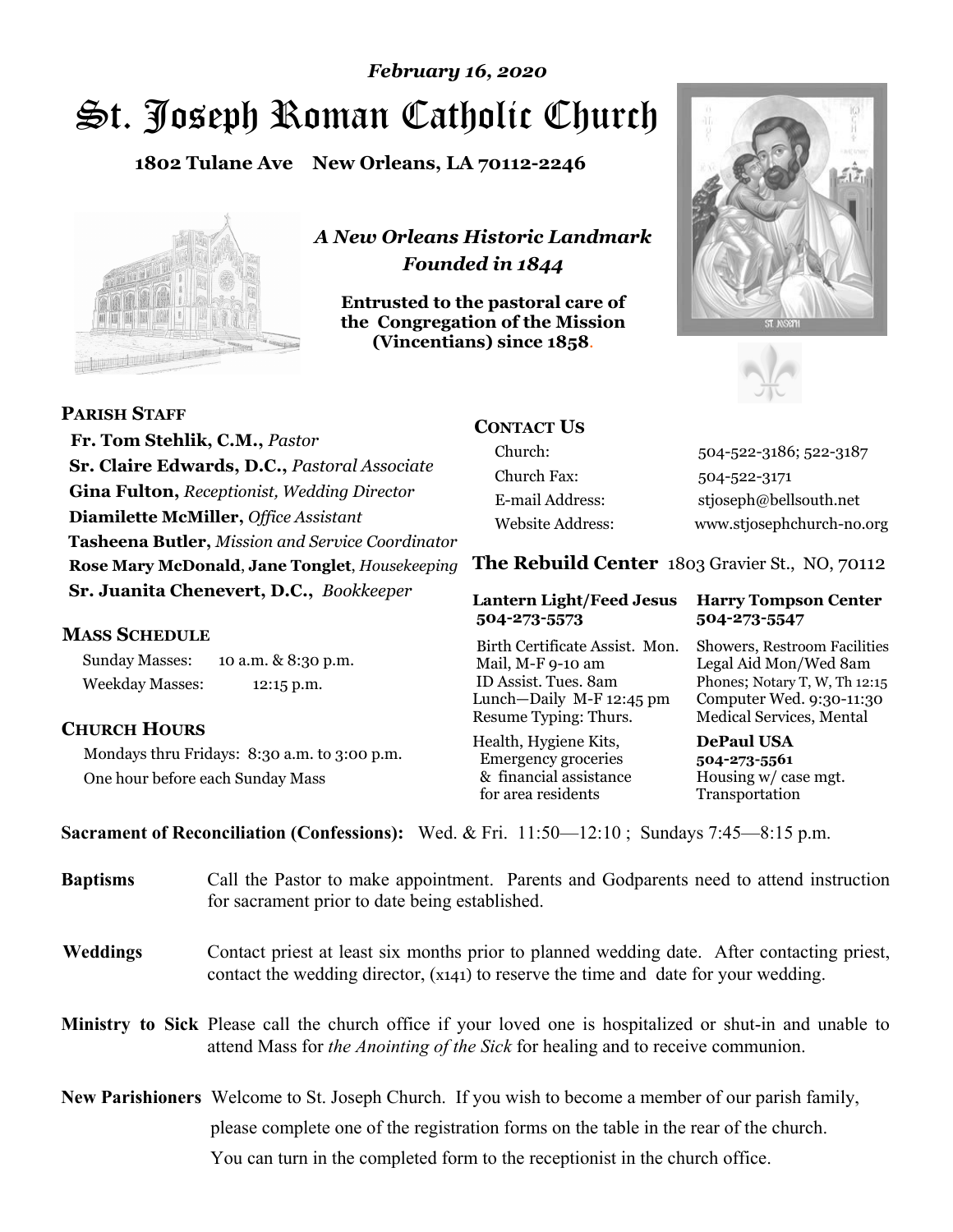# St. Joseph Roman Catholic Church *February 16, 2020*

**1802 Tulane Ave New Orleans, LA 70112-2246**



*A New Orleans Historic Landmark Founded in 1844* 

**Entrusted to the pastoral care of the Congregation of the Mission (Vincentians) since 1858**.





 **Fr. Tom Stehlik, C.M.,** *Pastor* **Sr. Claire Edwards, D.C.,** *Pastoral Associate* **Gina Fulton,** *Receptionist, Wedding Director* **Diamilette McMiller,** *Office Assistant* **Tasheena Butler,** *Mission and Service Coordinator* **Rose Mary McDonald**, **Jane Tonglet**, *Housekeeping* **Sr. Juanita Chenevert, D.C.,** *Bookkeeper* 

#### **MASS SCHEDULE**

**PARISH STAFF**

Sunday Masses: 10 a.m. & 8:30 p.m. Weekday Masses: 12:15 p.m.

#### **CHURCH HOURS**

Mondays thru Fridays: 8:30 a.m. to 3:00 p.m. One hour before each Sunday Mass

# **CONTACT US**

Church: 504-522-3186; 522-3187 Church Fax: 504-522-3171 E-mail Address: stjoseph@bellsouth.net Website Address: www.stjosephchurch-no.org

**The Rebuild Center** 1803 Gravier St., NO, 70112

#### **Lantern Light/Feed Jesus Harry Tompson Center 504-273-5573 504-273-5547**

Birth Certificate Assist. Mon. Showers, Restroom Facilities Mail, M-F 9-10 am Legal Aid Mon/Wed 8am ID Assist. Tues. 8am Phones; Notary T, W, Th 12:15 Lunch—Daily M-F 12:45 pm Computer Wed. 9:30-11:30 Resume Typing: Thurs. Medical Services, Mental

Health, Hygiene Kits, **DePaul USA**  Emergency groceries **504-273-5561** & financial assistance Housing w/ case mgt.<br>for area residents Transportation for area residents

**Sacrament of Reconciliation (Confessions):** Wed. & Fri. 11:50—12:10 ; Sundays 7:45—8:15 p.m.

| <b>Baptisms</b> | Call the Pastor to make appointment. Parents and Godparents need to attend instruction<br>for sacrament prior to date being established.                                                            |
|-----------------|-----------------------------------------------------------------------------------------------------------------------------------------------------------------------------------------------------|
| <b>Weddings</b> | Contact priest at least six months prior to planned wedding date. After contacting priest,<br>contact the wedding director, (x141) to reserve the time and date for your wedding.                   |
|                 | <b>Ministry to Sick</b> Please call the church office if your loved one is hospitalized or shut-in and unable to<br>attend Mass for the Anointing of the Sick for healing and to receive communion. |
|                 | <b>New Parishioners</b> Welcome to St. Joseph Church. If you wish to become a member of our parish family,                                                                                          |
|                 | please complete one of the registration forms on the table in the rear of the church.                                                                                                               |
|                 | You can turn in the completed form to the reception is the church office.                                                                                                                           |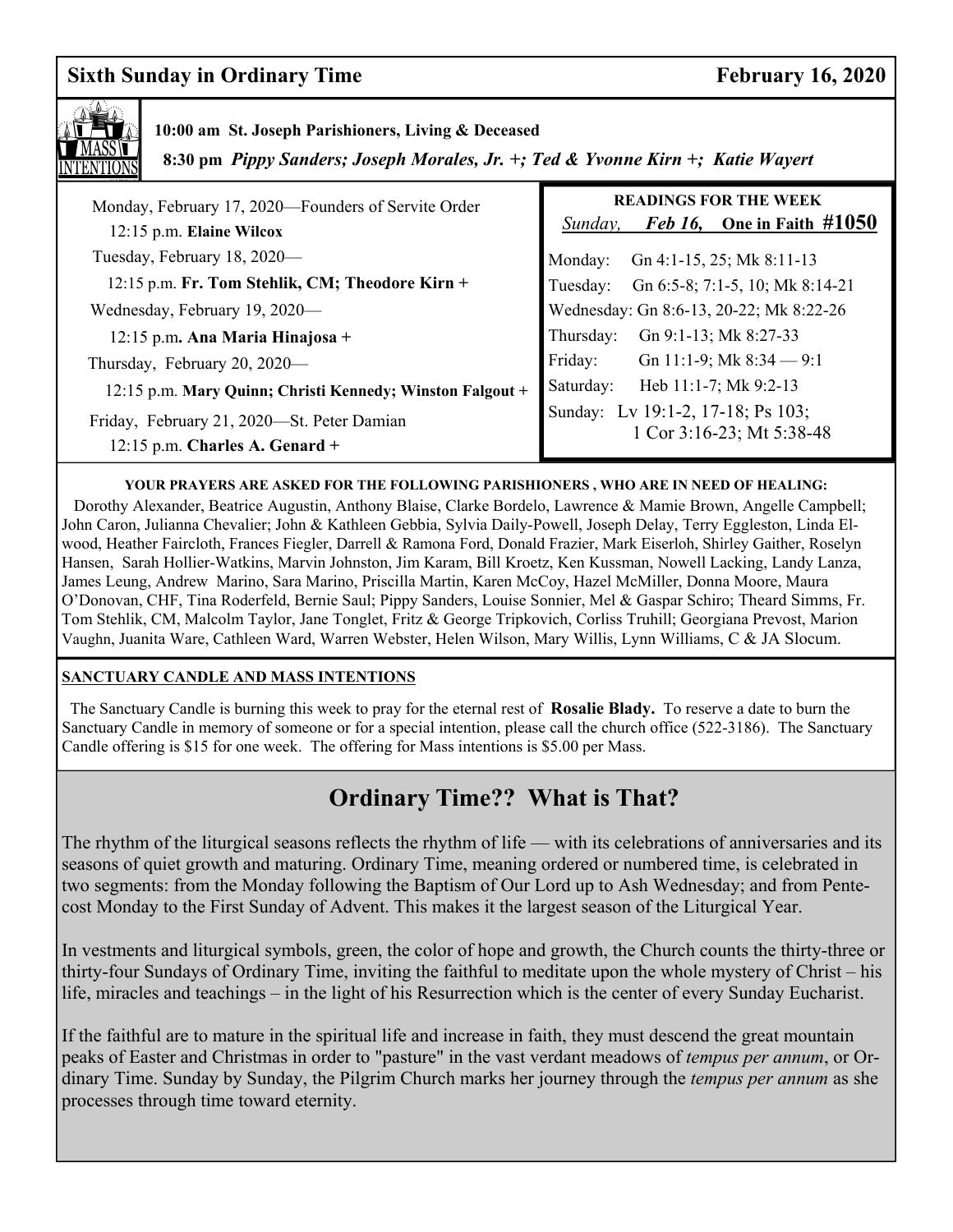# **Sixth Sunday in Ordinary Time February 16, 2020**



## **10:00 am St. Joseph Parishioners, Living & Deceased**

 **8:30 pm** *Pippy Sanders; Joseph Morales, Jr. +; Ted & Yvonne Kirn +; Katie Wayert*

| Monday, February 17, 2020—Founders of Servite Order<br>12:15 p.m. Elaine Wilcox | <b>READINGS FOR THE WEEK</b><br><i>Feb 16</i> , One in Faith $\#1050$<br>Sunday, |
|---------------------------------------------------------------------------------|----------------------------------------------------------------------------------|
| Tuesday, February 18, 2020-                                                     | Gn 4:1-15, 25; Mk 8:11-13<br>Monday:                                             |
| 12:15 p.m. Fr. Tom Stehlik, CM; Theodore Kirn +                                 | Gn 6:5-8; 7:1-5, 10; Mk 8:14-21<br>Tuesday:                                      |
| Wednesday, February 19, 2020-                                                   | Wednesday: Gn 8:6-13, 20-22; Mk 8:22-26                                          |
| $12:15$ p.m. Ana Maria Hinajosa +                                               | Gn 9:1-13; Mk 8:27-33<br>Thursday:                                               |
| Thursday, February 20, 2020-                                                    | Friday:<br>Gn 11:1-9; Mk $8:34 - 9:1$                                            |
| 12:15 p.m. Mary Quinn; Christi Kennedy; Winston Falgout +                       | Heb 11:1-7; Mk 9:2-13<br>Saturday:                                               |
| Friday, February 21, 2020-St. Peter Damian<br>$12:15$ p.m. Charles A. Genard +  | Sunday: Lv 19:1-2, 17-18; Ps 103;<br>1 Cor 3:16-23; Mt 5:38-48                   |

#### **YOUR PRAYERS ARE ASKED FOR THE FOLLOWING PARISHIONERS , WHO ARE IN NEED OF HEALING:**

 Dorothy Alexander, Beatrice Augustin, Anthony Blaise, Clarke Bordelo, Lawrence & Mamie Brown, Angelle Campbell; John Caron, Julianna Chevalier; John & Kathleen Gebbia, Sylvia Daily-Powell, Joseph Delay, Terry Eggleston, Linda Elwood, Heather Faircloth, Frances Fiegler, Darrell & Ramona Ford, Donald Frazier, Mark Eiserloh, Shirley Gaither, Roselyn Hansen, Sarah Hollier-Watkins, Marvin Johnston, Jim Karam, Bill Kroetz, Ken Kussman, Nowell Lacking, Landy Lanza, James Leung, Andrew Marino, Sara Marino, Priscilla Martin, Karen McCoy, Hazel McMiller, Donna Moore, Maura O'Donovan, CHF, Tina Roderfeld, Bernie Saul; Pippy Sanders, Louise Sonnier, Mel & Gaspar Schiro; Theard Simms, Fr. Tom Stehlik, CM, Malcolm Taylor, Jane Tonglet, Fritz & George Tripkovich, Corliss Truhill; Georgiana Prevost, Marion Vaughn, Juanita Ware, Cathleen Ward, Warren Webster, Helen Wilson, Mary Willis, Lynn Williams, C & JA Slocum.

#### **SANCTUARY CANDLE AND MASS INTENTIONS**

 The Sanctuary Candle is burning this week to pray for the eternal rest of **Rosalie Blady.** To reserve a date to burn the Sanctuary Candle in memory of someone or for a special intention, please call the church office (522-3186). The Sanctuary Candle offering is \$15 for one week. The offering for Mass intentions is \$5.00 per Mass.

# **Ordinary Time?? What is That?**

The rhythm of the liturgical seasons reflects the rhythm of life — with its celebrations of anniversaries and its seasons of quiet growth and maturing. Ordinary Time, meaning ordered or numbered time, is celebrated in two segments: from the Monday following the Baptism of Our Lord up to Ash Wednesday; and from Pentecost Monday to the First Sunday of Advent. This makes it the largest season of the Liturgical Year.

In vestments and liturgical symbols, green, the color of hope and growth, the Church counts the thirty-three or thirty-four Sundays of Ordinary Time, inviting the faithful to meditate upon the whole mystery of Christ – his life, miracles and teachings – in the light of his Resurrection which is the center of every Sunday Eucharist.

If the faithful are to mature in the spiritual life and increase in faith, they must descend the great mountain peaks of Easter and Christmas in order to "pasture" in the vast verdant meadows of *tempus per annum*, or Ordinary Time. Sunday by Sunday, the Pilgrim Church marks her journey through the *tempus per annum* as she processes through time toward eternity.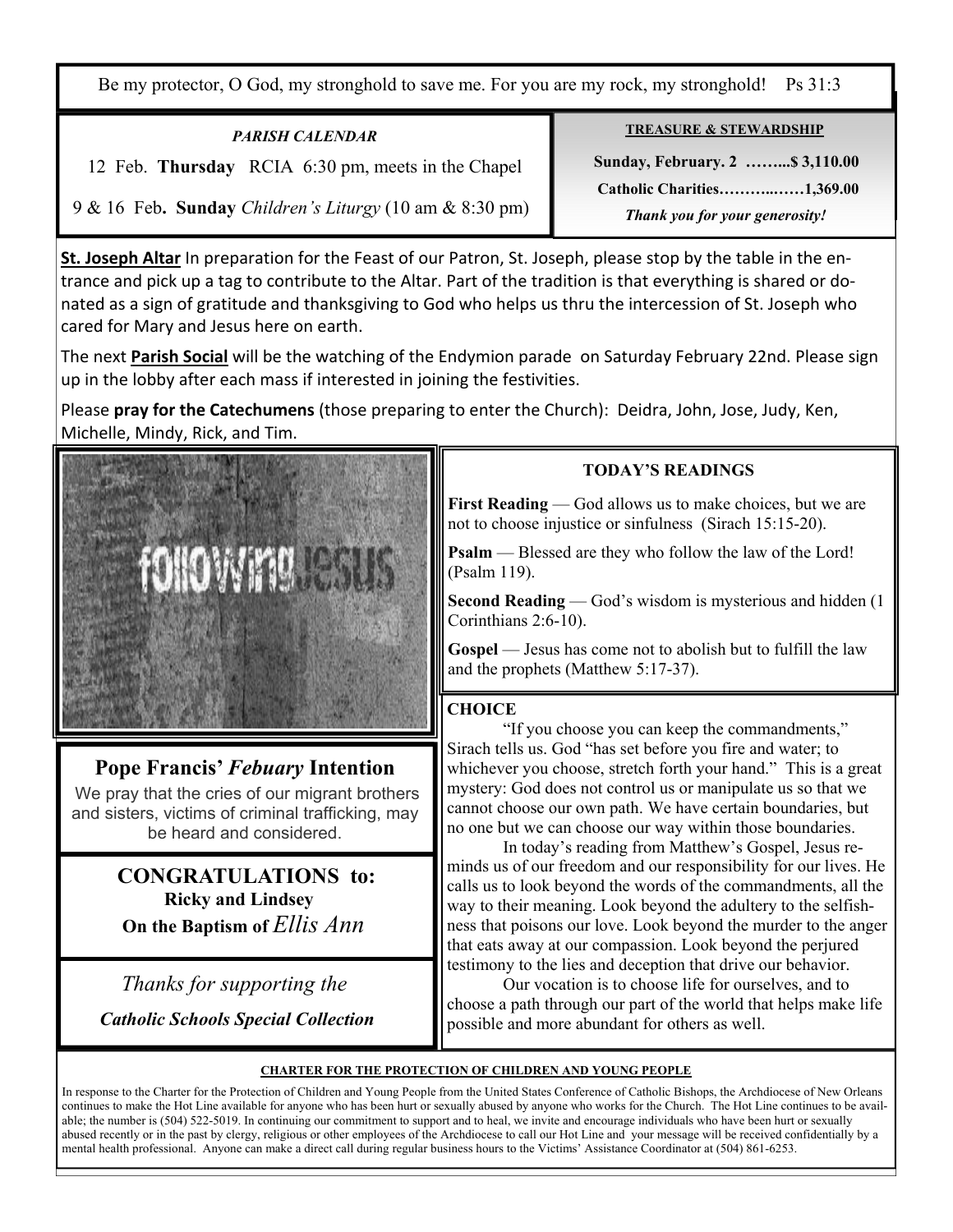Be my protector, O God, my stronghold to save me. For you are my rock, my stronghold! Ps 31:3

| <b>PARISH CALENDAR</b>                                  | <b>TREASURE &amp; STEWARDSHIP</b> |
|---------------------------------------------------------|-----------------------------------|
| 12 Feb. Thursday RCIA 6:30 pm, meets in the Chapel      | Sunday, February. 2  \$3,110.00   |
|                                                         | <b>Catholic Charities1,369.00</b> |
| 9 & 16 Feb. Sunday Children's Liturgy (10 am & 8:30 pm) | Thank you for your generosity!    |

**St. Joseph Altar** In preparation for the Feast of our Patron, St. Joseph, please stop by the table in the entrance and pick up a tag to contribute to the Altar. Part of the tradition is that everything is shared or donated as a sign of gratitude and thanksgiving to God who helps us thru the intercession of St. Joseph who cared for Mary and Jesus here on earth.

The next **Parish Social** will be the watching of the Endymion parade on Saturday February 22nd. Please sign up in the lobby after each mass if interested in joining the festivities.

Please **pray for the Catechumens** (those preparing to enter the Church): Deidra, John, Jose, Judy, Ken, Michelle, Mindy, Rick, and Tim.



# **Pope Francis'** *Febuary* **Intention**

We pray that the cries of our migrant brothers and sisters, victims of criminal trafficking, may be heard and considered.

> **CONGRATULATIONS to: Ricky and Lindsey On the Baptism of** *Ellis Ann*

 *Thanks for supporting the Catholic Schools Special Collection*

### **TODAY'S READINGS**

First Reading — God allows us to make choices, but we are not to choose injustice or sinfulness (Sirach 15:15-20).

**Psalm** — Blessed are they who follow the law of the Lord! (Psalm 119).

**Second Reading** — God's wisdom is mysterious and hidden (1) Corinthians 2:6-10).

**Gospel** — Jesus has come not to abolish but to fulfill the law and the prophets (Matthew 5:17-37).

#### **CHOICE**

 "If you choose you can keep the commandments," Sirach tells us. God "has set before you fire and water; to whichever you choose, stretch forth your hand." This is a great mystery: God does not control us or manipulate us so that we cannot choose our own path. We have certain boundaries, but no one but we can choose our way within those boundaries.

 In today's reading from Matthew's Gospel, Jesus reminds us of our freedom and our responsibility for our lives. He calls us to look beyond the words of the commandments, all the way to their meaning. Look beyond the adultery to the selfishness that poisons our love. Look beyond the murder to the anger that eats away at our compassion. Look beyond the perjured testimony to the lies and deception that drive our behavior.

 Our vocation is to choose life for ourselves, and to choose a path through our part of the world that helps make life possible and more abundant for others as well.

#### **CHARTER FOR THE PROTECTION OF CHILDREN AND YOUNG PEOPLE**

In response to the Charter for the Protection of Children and Young People from the United States Conference of Catholic Bishops, the Archdiocese of New Orleans continues to make the Hot Line available for anyone who has been hurt or sexually abused by anyone who works for the Church. The Hot Line continues to be available; the number is (504) 522-5019. In continuing our commitment to support and to heal, we invite and encourage individuals who have been hurt or sexually abused recently or in the past by clergy, religious or other employees of the Archdiocese to call our Hot Line and your message will be received confidentially by a mental health professional. Anyone can make a direct call during regular business hours to the Victims' Assistance Coordinator at (504) 861-6253.